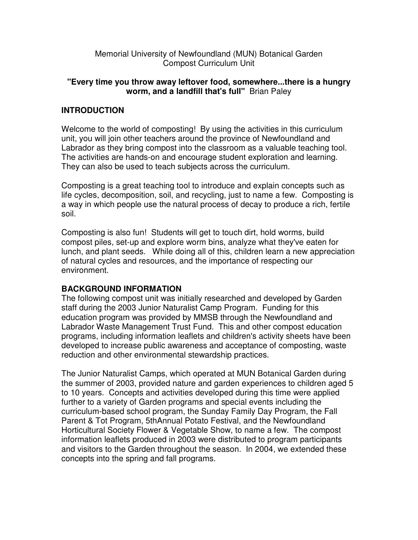Memorial University of Newfoundland (MUN) Botanical Garden Compost Curriculum Unit

#### **"Every time you throw away leftover food, somewhere...there is a hungry worm, and a landfill that's full"** Brian Paley

# **INTRODUCTION**

Welcome to the world of composting! By using the activities in this curriculum unit, you will join other teachers around the province of Newfoundland and Labrador as they bring compost into the classroom as a valuable teaching tool. The activities are hands-on and encourage student exploration and learning. They can also be used to teach subjects across the curriculum.

Composting is a great teaching tool to introduce and explain concepts such as life cycles, decomposition, soil, and recycling, just to name a few. Composting is a way in which people use the natural process of decay to produce a rich, fertile soil.

Composting is also fun! Students will get to touch dirt, hold worms, build compost piles, set-up and explore worm bins, analyze what they've eaten for lunch, and plant seeds. While doing all of this, children learn a new appreciation of natural cycles and resources, and the importance of respecting our environment.

### **BACKGROUND INFORMATION**

The following compost unit was initially researched and developed by Garden staff during the 2003 Junior Naturalist Camp Program. Funding for this education program was provided by MMSB through the Newfoundland and Labrador Waste Management Trust Fund. This and other compost education programs, including information leaflets and children's activity sheets have been developed to increase public awareness and acceptance of composting, waste reduction and other environmental stewardship practices.

The Junior Naturalist Camps, which operated at MUN Botanical Garden during the summer of 2003, provided nature and garden experiences to children aged 5 to 10 years. Concepts and activities developed during this time were applied further to a variety of Garden programs and special events including the curriculum-based school program, the Sunday Family Day Program, the Fall Parent & Tot Program, 5thAnnual Potato Festival, and the Newfoundland Horticultural Society Flower & Vegetable Show, to name a few. The compost information leaflets produced in 2003 were distributed to program participants and visitors to the Garden throughout the season. In 2004, we extended these concepts into the spring and fall programs.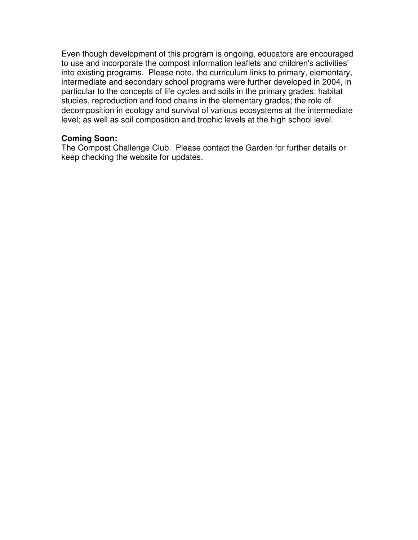Even though development of this program is ongoing, educators are encouraged to use and incorporate the compost information leaflets and children's activities' into existing programs. Please note, the curriculum links to primary, elementary, intermediate and secondary school programs were further developed in 2004, in particular to the concepts of life cycles and soils in the primary grades; habitat studies, reproduction and food chains in the elementary grades; the role of decomposition in ecology and survival of various ecosystems at the intermediate level; as well as soil composition and trophic levels at the high school level.

#### **Coming Soon:**

The Compost Challenge Club. Please contact the Garden for further details or keep checking the website for updates.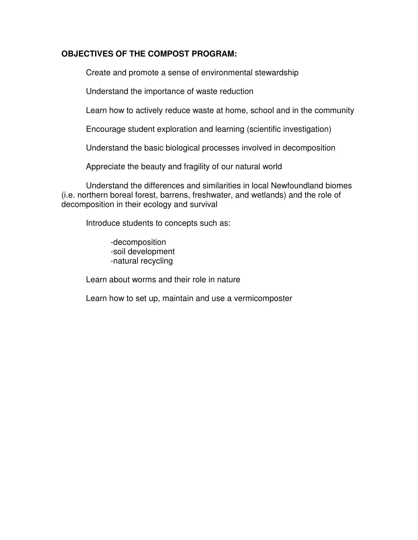### **OBJECTIVES OF THE COMPOST PROGRAM:**

Create and promote a sense of environmental stewardship

Understand the importance of waste reduction

Learn how to actively reduce waste at home, school and in the community

Encourage student exploration and learning (scientific investigation)

Understand the basic biological processes involved in decomposition

Appreciate the beauty and fragility of our natural world

 Understand the differences and similarities in local Newfoundland biomes (i.e. northern boreal forest, barrens, freshwater, and wetlands) and the role of decomposition in their ecology and survival

Introduce students to concepts such as:

 -decomposition -soil development -natural recycling

Learn about worms and their role in nature

Learn how to set up, maintain and use a vermicomposter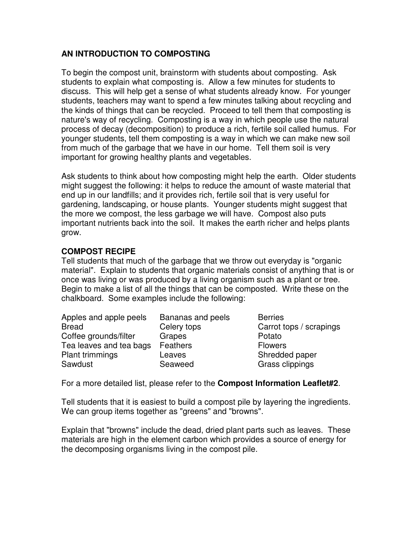# **AN INTRODUCTION TO COMPOSTING**

To begin the compost unit, brainstorm with students about composting. Ask students to explain what composting is. Allow a few minutes for students to discuss. This will help get a sense of what students already know. For younger students, teachers may want to spend a few minutes talking about recycling and the kinds of things that can be recycled. Proceed to tell them that composting is nature's way of recycling. Composting is a way in which people use the natural process of decay (decomposition) to produce a rich, fertile soil called humus. For younger students, tell them composting is a way in which we can make new soil from much of the garbage that we have in our home. Tell them soil is very important for growing healthy plants and vegetables.

Ask students to think about how composting might help the earth. Older students might suggest the following: it helps to reduce the amount of waste material that end up in our landfills; and it provides rich, fertile soil that is very useful for gardening, landscaping, or house plants. Younger students might suggest that the more we compost, the less garbage we will have. Compost also puts important nutrients back into the soil. It makes the earth richer and helps plants grow.

### **COMPOST RECIPE**

Tell students that much of the garbage that we throw out everyday is "organic material". Explain to students that organic materials consist of anything that is or once was living or was produced by a living organism such as a plant or tree. Begin to make a list of all the things that can be composted. Write these on the chalkboard. Some examples include the following:

| Apples and apple peels  | Bananas and peels | <b>Berries</b> |
|-------------------------|-------------------|----------------|
| <b>Bread</b>            | Celery tops       | Carrot to      |
| Coffee grounds/filter   | Grapes            | Potato         |
| Tea leaves and tea bags | Feathers          | <b>Flowers</b> |
| <b>Plant trimmings</b>  | Leaves            | Shredde        |
| Sawdust                 | Seaweed           | Grass c        |

Carrot tops / scrapings Flowers Shredded paper Grass clippings

For a more detailed list, please refer to the **Compost Information Leaflet#2**.

Tell students that it is easiest to build a compost pile by layering the ingredients. We can group items together as "greens" and "browns".

Explain that "browns" include the dead, dried plant parts such as leaves. These materials are high in the element carbon which provides a source of energy for the decomposing organisms living in the compost pile.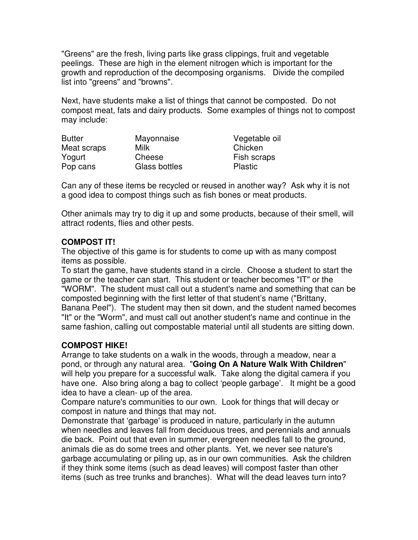"Greens" are the fresh, living parts like grass clippings, fruit and vegetable peelings. These are high in the element nitrogen which is important for the growth and reproduction of the decomposing organisms. Divide the compiled list into "greens" and "browns".

Next, have students make a list of things that cannot be composted. Do not compost meat, fats and dairy products. Some examples of things not to compost may include:

| <b>Butter</b> | Mayonnaise    | Vegetable oil  |
|---------------|---------------|----------------|
| Meat scraps   | Milk          | Chicken        |
| Yogurt        | Cheese        | Fish scraps    |
| Pop cans      | Glass bottles | <b>Plastic</b> |

Can any of these items be recycled or reused in another way? Ask why it is not a good idea to compost things such as fish bones or meat products.

Other animals may try to dig it up and some products, because of their smell, will attract rodents, flies and other pests.

# **COMPOST IT!**

The objective of this game is for students to come up with as many compost items as possible.

To start the game, have students stand in a circle. Choose a student to start the game or the teacher can start. This student or teacher becomes "IT" or the "WORM". The student must call out a student's name and something that can be composted beginning with the first letter of that student's name ("Brittany, Banana Peel"). The student may then sit down, and the student named becomes "It" or the "Worm", and must call out another student's name and continue in the same fashion, calling out compostable material until all students are sitting down.

### **COMPOST HIKE!**

Arrange to take students on a walk in the woods, through a meadow, near a pond, or through any natural area. "**Going On A Nature Walk With Children**" will help you prepare for a successful walk. Take along the digital camera if you have one. Also bring along a bag to collect 'people garbage'. It might be a good idea to have a clean- up of the area.

Compare nature's communities to our own. Look for things that will decay or compost in nature and things that may not.

Demonstrate that 'garbage' is produced in nature, particularly in the autumn when needles and leaves fall from deciduous trees, and perennials and annuals die back. Point out that even in summer, evergreen needles fall to the ground, animals die as do some trees and other plants. Yet, we never see nature's garbage accumulating or piling up, as in our own communities. Ask the children if they think some items (such as dead leaves) will compost faster than other items (such as tree trunks and branches). What will the dead leaves turn into?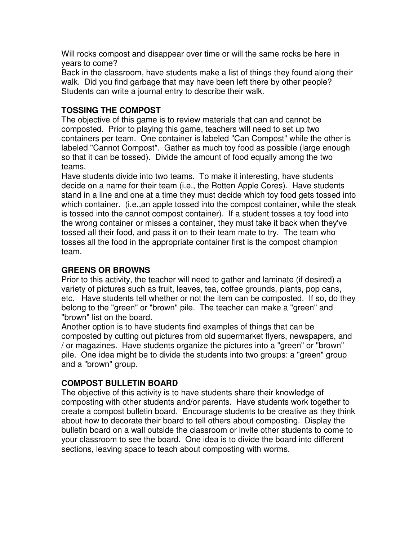Will rocks compost and disappear over time or will the same rocks be here in years to come?

Back in the classroom, have students make a list of things they found along their walk. Did you find garbage that may have been left there by other people? Students can write a journal entry to describe their walk.

# **TOSSING THE COMPOST**

The objective of this game is to review materials that can and cannot be composted. Prior to playing this game, teachers will need to set up two containers per team. One container is labeled "Can Compost" while the other is labeled "Cannot Compost". Gather as much toy food as possible (large enough so that it can be tossed). Divide the amount of food equally among the two teams.

Have students divide into two teams. To make it interesting, have students decide on a name for their team (i.e., the Rotten Apple Cores). Have students stand in a line and one at a time they must decide which toy food gets tossed into which container. (i.e.,an apple tossed into the compost container, while the steak is tossed into the cannot compost container). If a student tosses a toy food into the wrong container or misses a container, they must take it back when they've tossed all their food, and pass it on to their team mate to try. The team who tosses all the food in the appropriate container first is the compost champion team.

# **GREENS OR BROWNS**

Prior to this activity, the teacher will need to gather and laminate (if desired) a variety of pictures such as fruit, leaves, tea, coffee grounds, plants, pop cans, etc. Have students tell whether or not the item can be composted. If so, do they belong to the "green" or "brown" pile. The teacher can make a "green" and "brown" list on the board.

Another option is to have students find examples of things that can be composted by cutting out pictures from old supermarket flyers, newspapers, and / or magazines. Have students organize the pictures into a "green" or "brown" pile. One idea might be to divide the students into two groups: a "green" group and a "brown" group.

### **COMPOST BULLETIN BOARD**

The objective of this activity is to have students share their knowledge of composting with other students and/or parents. Have students work together to create a compost bulletin board. Encourage students to be creative as they think about how to decorate their board to tell others about composting. Display the bulletin board on a wall outside the classroom or invite other students to come to your classroom to see the board. One idea is to divide the board into different sections, leaving space to teach about composting with worms.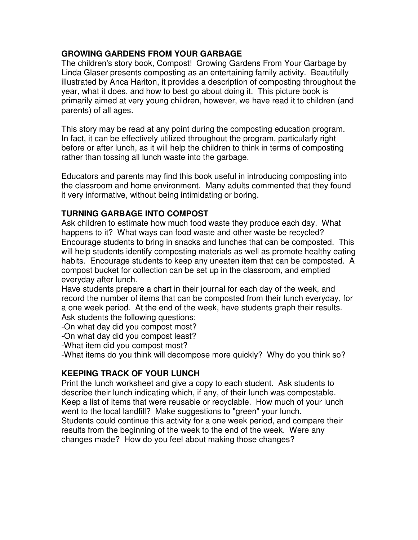# **GROWING GARDENS FROM YOUR GARBAGE**

The children's story book, Compost! Growing Gardens From Your Garbage by Linda Glaser presents composting as an entertaining family activity. Beautifully illustrated by Anca Hariton, it provides a description of composting throughout the year, what it does, and how to best go about doing it. This picture book is primarily aimed at very young children, however, we have read it to children (and parents) of all ages.

This story may be read at any point during the composting education program. In fact, it can be effectively utilized throughout the program, particularly right before or after lunch, as it will help the children to think in terms of composting rather than tossing all lunch waste into the garbage.

Educators and parents may find this book useful in introducing composting into the classroom and home environment. Many adults commented that they found it very informative, without being intimidating or boring.

### **TURNING GARBAGE INTO COMPOST**

Ask children to estimate how much food waste they produce each day. What happens to it? What ways can food waste and other waste be recycled? Encourage students to bring in snacks and lunches that can be composted. This will help students identify composting materials as well as promote healthy eating habits. Encourage students to keep any uneaten item that can be composted. A compost bucket for collection can be set up in the classroom, and emptied everyday after lunch.

Have students prepare a chart in their journal for each day of the week, and record the number of items that can be composted from their lunch everyday, for a one week period. At the end of the week, have students graph their results. Ask students the following questions:

-On what day did you compost most?

-On what day did you compost least?

-What item did you compost most?

-What items do you think will decompose more quickly? Why do you think so?

# **KEEPING TRACK OF YOUR LUNCH**

Print the lunch worksheet and give a copy to each student. Ask students to describe their lunch indicating which, if any, of their lunch was compostable. Keep a list of items that were reusable or recyclable. How much of your lunch went to the local landfill? Make suggestions to "green" your lunch. Students could continue this activity for a one week period, and compare their results from the beginning of the week to the end of the week. Were any changes made? How do you feel about making those changes?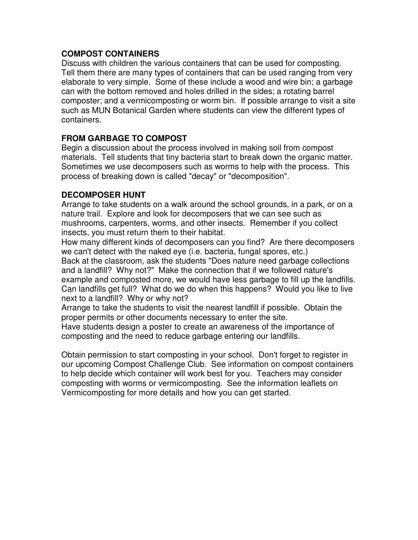### **COMPOST CONTAINERS**

Discuss with children the various containers that can be used for composting. Tell them there are many types of containers that can be used ranging from very elaborate to very simple. Some of these include a wood and wire bin; a garbage can with the bottom removed and holes drilled in the sides; a rotating barrel composter; and a vermicomposting or worm bin. If possible arrange to visit a site such as MUN Botanical Garden where students can view the different types of containers.

### **FROM GARBAGE TO COMPOST**

Begin a discussion about the process involved in making soil from compost materials. Tell students that tiny bacteria start to break down the organic matter. Sometimes we use decomposers such as worms to help with the process. This process of breaking down is called "decay" or "decomposition".

#### **DECOMPOSER HUNT**

Arrange to take students on a walk around the school grounds, in a park, or on a nature trail. Explore and look for decomposers that we can see such as mushrooms, carpenters, worms, and other insects. Remember if you collect insects, you must return them to their habitat.

How many different kinds of decomposers can you find? Are there decomposers we can't detect with the naked eye (i.e. bacteria, fungal spores, etc.) Back at the classroom, ask the students "Does nature need garbage collections and a landfill? Why not?" Make the connection that if we followed nature's example and composted more, we would have less garbage to fill up the landfills. Can landfills get full? What do we do when this happens? Would you like to live next to a landfill? Why or why not?

Arrange to take the students to visit the nearest landfill if possible. Obtain the proper permits or other documents necessary to enter the site.

Have students design a poster to create an awareness of the importance of composting and the need to reduce garbage entering our landfills.

Obtain permission to start composting in your school. Don't forget to register in our upcoming Compost Challenge Club. See information on compost containers to help decide which container will work best for you. Teachers may consider composting with worms or vermicomposting. See the information leaflets on Vermicomposting for more details and how you can get started.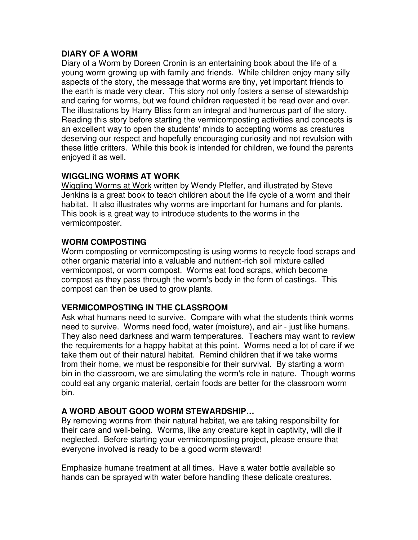### **DIARY OF A WORM**

Diary of a Worm by Doreen Cronin is an entertaining book about the life of a young worm growing up with family and friends. While children enjoy many silly aspects of the story, the message that worms are tiny, yet important friends to the earth is made very clear. This story not only fosters a sense of stewardship and caring for worms, but we found children requested it be read over and over. The illustrations by Harry Bliss form an integral and humerous part of the story. Reading this story before starting the vermicomposting activities and concepts is an excellent way to open the students' minds to accepting worms as creatures deserving our respect and hopefully encouraging curiosity and not revulsion with these little critters. While this book is intended for children, we found the parents enjoyed it as well.

### **WIGGLING WORMS AT WORK**

Wiggling Worms at Work written by Wendy Pfeffer, and illustrated by Steve Jenkins is a great book to teach children about the life cycle of a worm and their habitat. It also illustrates why worms are important for humans and for plants. This book is a great way to introduce students to the worms in the vermicomposter.

### **WORM COMPOSTING**

Worm composting or vermicomposting is using worms to recycle food scraps and other organic material into a valuable and nutrient-rich soil mixture called vermicompost, or worm compost. Worms eat food scraps, which become compost as they pass through the worm's body in the form of castings. This compost can then be used to grow plants.

### **VERMICOMPOSTING IN THE CLASSROOM**

Ask what humans need to survive. Compare with what the students think worms need to survive. Worms need food, water (moisture), and air - just like humans. They also need darkness and warm temperatures. Teachers may want to review the requirements for a happy habitat at this point. Worms need a lot of care if we take them out of their natural habitat. Remind children that if we take worms from their home, we must be responsible for their survival. By starting a worm bin in the classroom, we are simulating the worm's role in nature. Though worms could eat any organic material, certain foods are better for the classroom worm bin.

### **A WORD ABOUT GOOD WORM STEWARDSHIP…**

By removing worms from their natural habitat, we are taking responsibility for their care and well-being. Worms, like any creature kept in captivity, will die if neglected. Before starting your vermicomposting project, please ensure that everyone involved is ready to be a good worm steward!

Emphasize humane treatment at all times. Have a water bottle available so hands can be sprayed with water before handling these delicate creatures.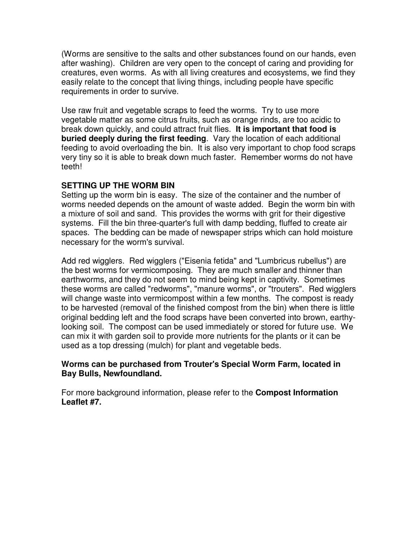(Worms are sensitive to the salts and other substances found on our hands, even after washing). Children are very open to the concept of caring and providing for creatures, even worms. As with all living creatures and ecosystems, we find they easily relate to the concept that living things, including people have specific requirements in order to survive.

Use raw fruit and vegetable scraps to feed the worms. Try to use more vegetable matter as some citrus fruits, such as orange rinds, are too acidic to break down quickly, and could attract fruit flies. **It is important that food is buried deeply during the first feeding**. Vary the location of each additional feeding to avoid overloading the bin. It is also very important to chop food scraps very tiny so it is able to break down much faster. Remember worms do not have teeth!

### **SETTING UP THE WORM BIN**

Setting up the worm bin is easy. The size of the container and the number of worms needed depends on the amount of waste added. Begin the worm bin with a mixture of soil and sand. This provides the worms with grit for their digestive systems. Fill the bin three-quarter's full with damp bedding, fluffed to create air spaces. The bedding can be made of newspaper strips which can hold moisture necessary for the worm's survival.

Add red wigglers. Red wigglers ("Eisenia fetida" and "Lumbricus rubellus") are the best worms for vermicomposing. They are much smaller and thinner than earthworms, and they do not seem to mind being kept in captivity. Sometimes these worms are called "redworms", "manure worms", or "trouters". Red wigglers will change waste into vermicompost within a few months. The compost is ready to be harvested (removal of the finished compost from the bin) when there is little original bedding left and the food scraps have been converted into brown, earthylooking soil. The compost can be used immediately or stored for future use. We can mix it with garden soil to provide more nutrients for the plants or it can be used as a top dressing (mulch) for plant and vegetable beds.

#### **Worms can be purchased from Trouter's Special Worm Farm, located in Bay Bulls, Newfoundland.**

For more background information, please refer to the **Compost Information Leaflet #7.**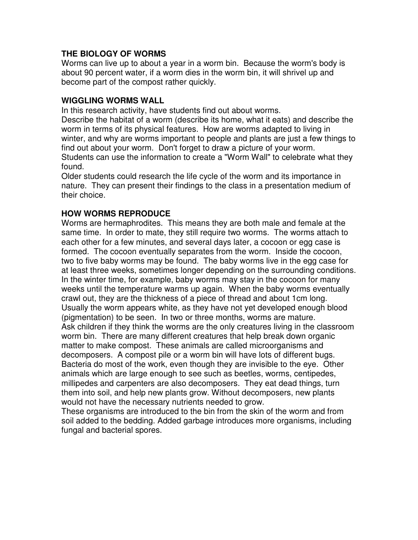### **THE BIOLOGY OF WORMS**

Worms can live up to about a year in a worm bin. Because the worm's body is about 90 percent water, if a worm dies in the worm bin, it will shrivel up and become part of the compost rather quickly.

#### **WIGGLING WORMS WALL**

In this research activity, have students find out about worms.

Describe the habitat of a worm (describe its home, what it eats) and describe the worm in terms of its physical features. How are worms adapted to living in winter, and why are worms important to people and plants are just a few things to find out about your worm. Don't forget to draw a picture of your worm. Students can use the information to create a "Worm Wall" to celebrate what they

found.

Older students could research the life cycle of the worm and its importance in nature. They can present their findings to the class in a presentation medium of their choice.

### **HOW WORMS REPRODUCE**

Worms are hermaphrodites. This means they are both male and female at the same time. In order to mate, they still require two worms. The worms attach to each other for a few minutes, and several days later, a cocoon or egg case is formed. The cocoon eventually separates from the worm. Inside the cocoon, two to five baby worms may be found. The baby worms live in the egg case for at least three weeks, sometimes longer depending on the surrounding conditions. In the winter time, for example, baby worms may stay in the cocoon for many weeks until the temperature warms up again. When the baby worms eventually crawl out, they are the thickness of a piece of thread and about 1cm long. Usually the worm appears white, as they have not yet developed enough blood (pigmentation) to be seen. In two or three months, worms are mature. Ask children if they think the worms are the only creatures living in the classroom worm bin. There are many different creatures that help break down organic matter to make compost. These animals are called microorganisms and decomposers. A compost pile or a worm bin will have lots of different bugs. Bacteria do most of the work, even though they are invisible to the eye. Other animals which are large enough to see such as beetles, worms, centipedes, millipedes and carpenters are also decomposers. They eat dead things, turn them into soil, and help new plants grow. Without decomposers, new plants would not have the necessary nutrients needed to grow.

These organisms are introduced to the bin from the skin of the worm and from soil added to the bedding. Added garbage introduces more organisms, including fungal and bacterial spores.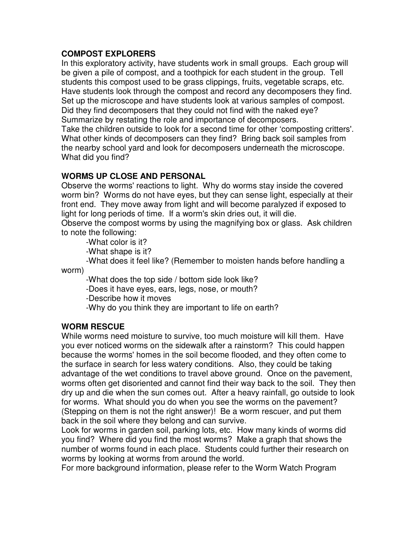### **COMPOST EXPLORERS**

In this exploratory activity, have students work in small groups. Each group will be given a pile of compost, and a toothpick for each student in the group. Tell students this compost used to be grass clippings, fruits, vegetable scraps, etc. Have students look through the compost and record any decomposers they find. Set up the microscope and have students look at various samples of compost. Did they find decomposers that they could not find with the naked eye? Summarize by restating the role and importance of decomposers.

Take the children outside to look for a second time for other 'composting critters'. What other kinds of decomposers can they find? Bring back soil samples from the nearby school yard and look for decomposers underneath the microscope. What did you find?

### **WORMS UP CLOSE AND PERSONAL**

Observe the worms' reactions to light. Why do worms stay inside the covered worm bin? Worms do not have eyes, but they can sense light, especially at their front end. They move away from light and will become paralyzed if exposed to light for long periods of time. If a worm's skin dries out, it will die.

Observe the compost worms by using the magnifying box or glass. Ask children to note the following:

-What color is it?

-What shape is it?

 -What does it feel like? (Remember to moisten hands before handling a worm)

-What does the top side / bottom side look like?

-Does it have eyes, ears, legs, nose, or mouth?

-Describe how it moves

-Why do you think they are important to life on earth?

### **WORM RESCUE**

While worms need moisture to survive, too much moisture will kill them. Have you ever noticed worms on the sidewalk after a rainstorm? This could happen because the worms' homes in the soil become flooded, and they often come to the surface in search for less watery conditions. Also, they could be taking advantage of the wet conditions to travel above ground. Once on the pavement, worms often get disoriented and cannot find their way back to the soil. They then dry up and die when the sun comes out. After a heavy rainfall, go outside to look for worms. What should you do when you see the worms on the pavement? (Stepping on them is not the right answer)! Be a worm rescuer, and put them back in the soil where they belong and can survive.

Look for worms in garden soil, parking lots, etc. How many kinds of worms did you find? Where did you find the most worms? Make a graph that shows the number of worms found in each place. Students could further their research on worms by looking at worms from around the world.

For more background information, please refer to the Worm Watch Program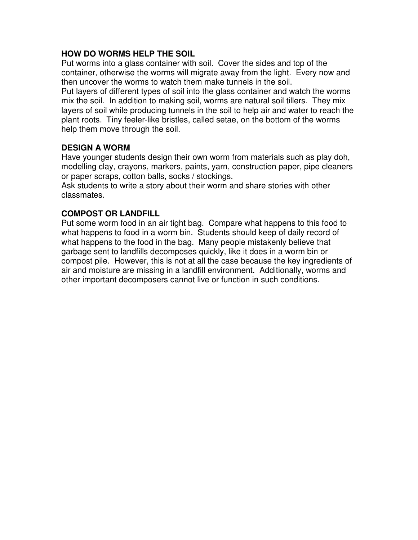### **HOW DO WORMS HELP THE SOIL**

Put worms into a glass container with soil. Cover the sides and top of the container, otherwise the worms will migrate away from the light. Every now and then uncover the worms to watch them make tunnels in the soil.

Put layers of different types of soil into the glass container and watch the worms mix the soil. In addition to making soil, worms are natural soil tillers. They mix layers of soil while producing tunnels in the soil to help air and water to reach the plant roots. Tiny feeler-like bristles, called setae, on the bottom of the worms help them move through the soil.

#### **DESIGN A WORM**

Have younger students design their own worm from materials such as play doh, modelling clay, crayons, markers, paints, yarn, construction paper, pipe cleaners or paper scraps, cotton balls, socks / stockings.

Ask students to write a story about their worm and share stories with other classmates.

### **COMPOST OR LANDFILL**

Put some worm food in an air tight bag. Compare what happens to this food to what happens to food in a worm bin. Students should keep of daily record of what happens to the food in the bag. Many people mistakenly believe that garbage sent to landfills decomposes quickly, like it does in a worm bin or compost pile. However, this is not at all the case because the key ingredients of air and moisture are missing in a landfill environment. Additionally, worms and other important decomposers cannot live or function in such conditions.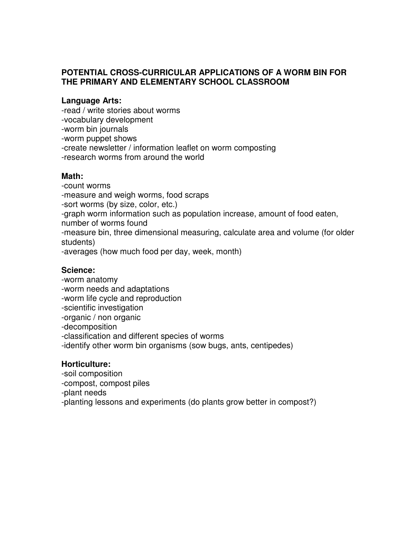### **POTENTIAL CROSS-CURRICULAR APPLICATIONS OF A WORM BIN FOR THE PRIMARY AND ELEMENTARY SCHOOL CLASSROOM**

#### **Language Arts:**

-read / write stories about worms

- -vocabulary development
- -worm bin journals

-worm puppet shows

- -create newsletter / information leaflet on worm composting
- -research worms from around the world

### **Math:**

-count worms

-measure and weigh worms, food scraps

-sort worms (by size, color, etc.)

-graph worm information such as population increase, amount of food eaten,

number of worms found

-measure bin, three dimensional measuring, calculate area and volume (for older students)

-averages (how much food per day, week, month)

### **Science:**

- -worm anatomy
- -worm needs and adaptations
- -worm life cycle and reproduction
- -scientific investigation
- -organic / non organic
- -decomposition

-classification and different species of worms

-identify other worm bin organisms (sow bugs, ants, centipedes)

### **Horticulture:**

- -soil composition
- -compost, compost piles
- -plant needs

-planting lessons and experiments (do plants grow better in compost?)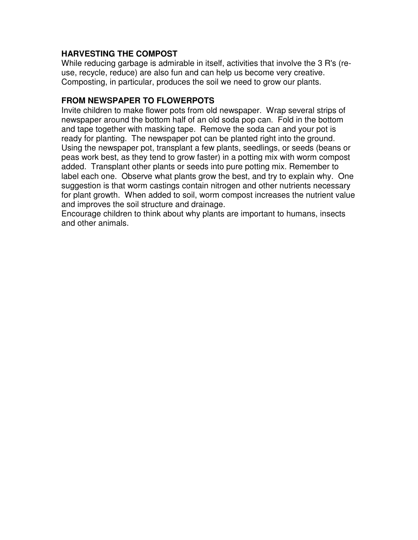## **HARVESTING THE COMPOST**

While reducing garbage is admirable in itself, activities that involve the 3 R's (reuse, recycle, reduce) are also fun and can help us become very creative. Composting, in particular, produces the soil we need to grow our plants.

# **FROM NEWSPAPER TO FLOWERPOTS**

Invite children to make flower pots from old newspaper. Wrap several strips of newspaper around the bottom half of an old soda pop can. Fold in the bottom and tape together with masking tape. Remove the soda can and your pot is ready for planting. The newspaper pot can be planted right into the ground. Using the newspaper pot, transplant a few plants, seedlings, or seeds (beans or peas work best, as they tend to grow faster) in a potting mix with worm compost added. Transplant other plants or seeds into pure potting mix. Remember to label each one. Observe what plants grow the best, and try to explain why. One suggestion is that worm castings contain nitrogen and other nutrients necessary for plant growth. When added to soil, worm compost increases the nutrient value and improves the soil structure and drainage.

Encourage children to think about why plants are important to humans, insects and other animals.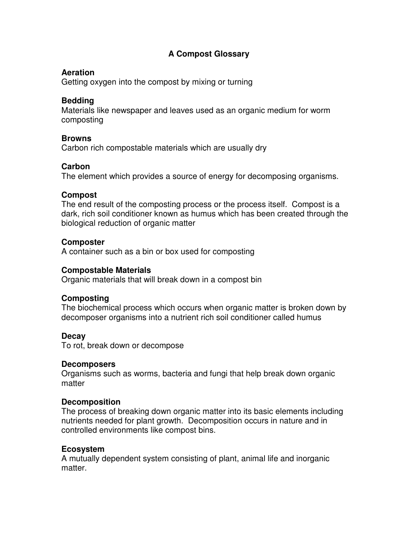# **A Compost Glossary**

#### **Aeration**

Getting oxygen into the compost by mixing or turning

### **Bedding**

Materials like newspaper and leaves used as an organic medium for worm composting

#### **Browns**

Carbon rich compostable materials which are usually dry

### **Carbon**

The element which provides a source of energy for decomposing organisms.

#### **Compost**

The end result of the composting process or the process itself. Compost is a dark, rich soil conditioner known as humus which has been created through the biological reduction of organic matter

#### **Composter**

A container such as a bin or box used for composting

#### **Compostable Materials**

Organic materials that will break down in a compost bin

#### **Composting**

The biochemical process which occurs when organic matter is broken down by decomposer organisms into a nutrient rich soil conditioner called humus

#### **Decay**

To rot, break down or decompose

#### **Decomposers**

Organisms such as worms, bacteria and fungi that help break down organic matter

#### **Decomposition**

The process of breaking down organic matter into its basic elements including nutrients needed for plant growth. Decomposition occurs in nature and in controlled environments like compost bins.

#### **Ecosystem**

A mutually dependent system consisting of plant, animal life and inorganic matter.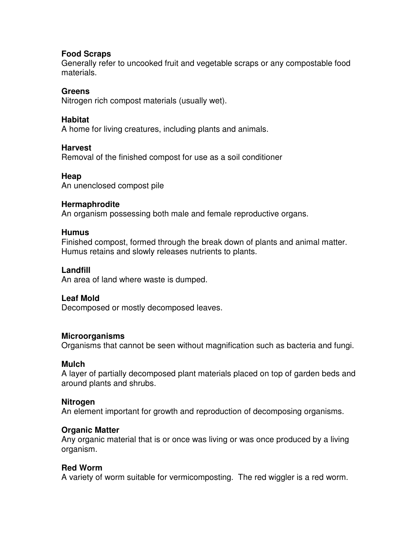#### **Food Scraps**

Generally refer to uncooked fruit and vegetable scraps or any compostable food materials.

### **Greens**

Nitrogen rich compost materials (usually wet).

### **Habitat**

A home for living creatures, including plants and animals.

### **Harvest**

Removal of the finished compost for use as a soil conditioner

### **Heap**

An unenclosed compost pile

### **Hermaphrodite**

An organism possessing both male and female reproductive organs.

### **Humus**

Finished compost, formed through the break down of plants and animal matter. Humus retains and slowly releases nutrients to plants.

### **Landfill**

An area of land where waste is dumped.

### **Leaf Mold**

Decomposed or mostly decomposed leaves.

### **Microorganisms**

Organisms that cannot be seen without magnification such as bacteria and fungi.

#### **Mulch**

A layer of partially decomposed plant materials placed on top of garden beds and around plants and shrubs.

#### **Nitrogen**

An element important for growth and reproduction of decomposing organisms.

### **Organic Matter**

Any organic material that is or once was living or was once produced by a living organism.

### **Red Worm**

A variety of worm suitable for vermicomposting. The red wiggler is a red worm.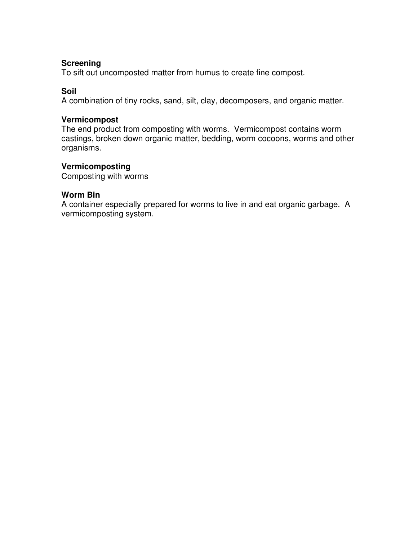### **Screening**

To sift out uncomposted matter from humus to create fine compost.

### **Soil**

A combination of tiny rocks, sand, silt, clay, decomposers, and organic matter.

#### **Vermicompost**

The end product from composting with worms. Vermicompost contains worm castings, broken down organic matter, bedding, worm cocoons, worms and other organisms.

## **Vermicomposting**

Composting with worms

#### **Worm Bin**

A container especially prepared for worms to live in and eat organic garbage. A vermicomposting system.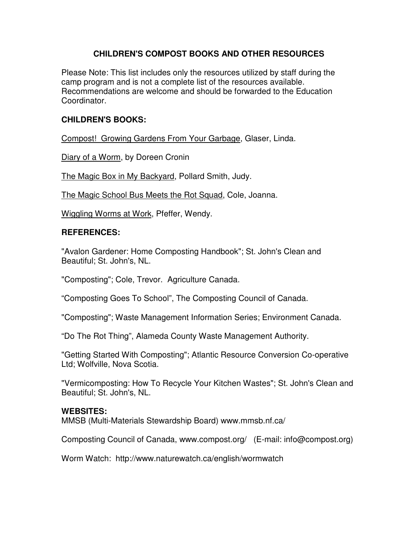## **CHILDREN'S COMPOST BOOKS AND OTHER RESOURCES**

Please Note: This list includes only the resources utilized by staff during the camp program and is not a complete list of the resources available. Recommendations are welcome and should be forwarded to the Education Coordinator.

# **CHILDREN'S BOOKS:**

Compost! Growing Gardens From Your Garbage, Glaser, Linda.

Diary of a Worm, by Doreen Cronin

The Magic Box in My Backyard, Pollard Smith, Judy.

The Magic School Bus Meets the Rot Squad, Cole, Joanna.

Wiggling Worms at Work, Pfeffer, Wendy.

### **REFERENCES:**

"Avalon Gardener: Home Composting Handbook"; St. John's Clean and Beautiful; St. John's, NL.

"Composting"; Cole, Trevor. Agriculture Canada.

"Composting Goes To School", The Composting Council of Canada.

"Composting"; Waste Management Information Series; Environment Canada.

"Do The Rot Thing", Alameda County Waste Management Authority.

"Getting Started With Composting"; Atlantic Resource Conversion Co-operative Ltd; Wolfville, Nova Scotia.

"Vermicomposting: How To Recycle Your Kitchen Wastes"; St. John's Clean and Beautiful; St. John's, NL.

### **WEBSITES:**

MMSB (Multi-Materials Stewardship Board) www.mmsb.nf.ca/

Composting Council of Canada, www.compost.org/ (E-mail: info@compost.org)

Worm Watch: http://www.naturewatch.ca/english/wormwatch